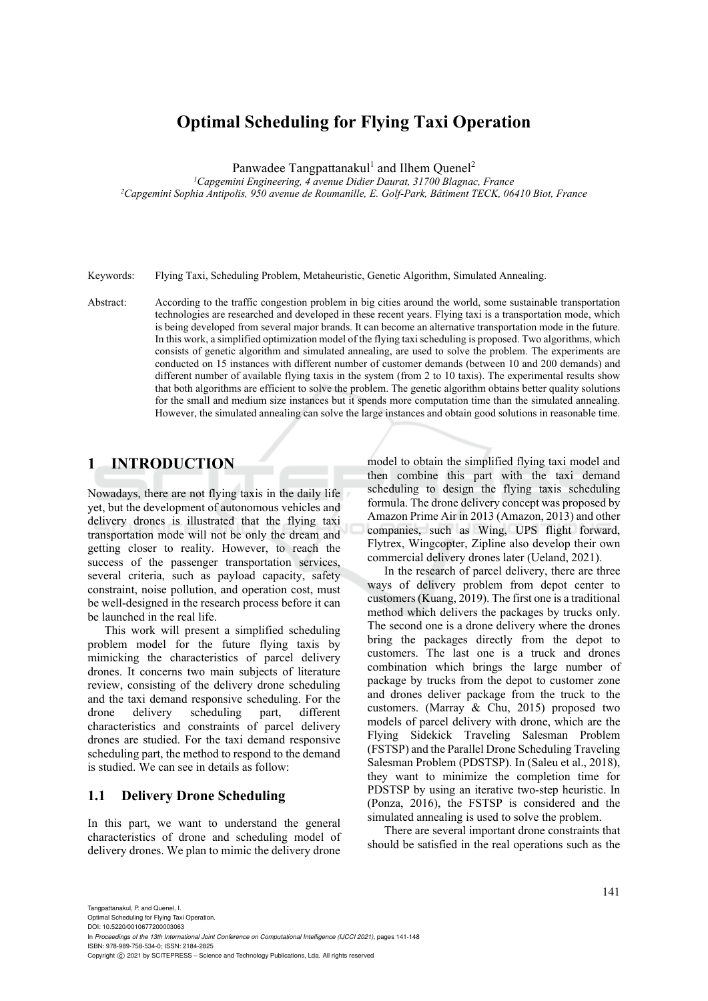# **Optimal Scheduling for Flying Taxi Operation**

Panwadee Tangpattanakul<sup>1</sup> and Ilhem Quenel<sup>2</sup>

<sup>1</sup>Capgemini Engineering, 4 avenue Didier Daurat, 31700 Blagnac, France <sup>2</sup> Capgemini Sophia Antipolis, 950 avenue de Roumanille, E. Golf-Park, Bâtiment TECK, 06410 Biot, France

Keywords: Flying Taxi, Scheduling Problem, Metaheuristic, Genetic Algorithm, Simulated Annealing.

Abstract: According to the traffic congestion problem in big cities around the world, some sustainable transportation technologies are researched and developed in these recent years. Flying taxi is a transportation mode, which is being developed from several major brands. It can become an alternative transportation mode in the future. In this work, a simplified optimization model of the flying taxi scheduling is proposed. Two algorithms, which consists of genetic algorithm and simulated annealing, are used to solve the problem. The experiments are conducted on 15 instances with different number of customer demands (between 10 and 200 demands) and different number of available flying taxis in the system (from 2 to 10 taxis). The experimental results show that both algorithms are efficient to solve the problem. The genetic algorithm obtains better quality solutions for the small and medium size instances but it spends more computation time than the simulated annealing. However, the simulated annealing can solve the large instances and obtain good solutions in reasonable time.

### **1 INTRODUCTION**

Nowadays, there are not flying taxis in the daily life yet, but the development of autonomous vehicles and delivery drones is illustrated that the flying taxi transportation mode will not be only the dream and getting closer to reality. However, to reach the success of the passenger transportation services, several criteria, such as payload capacity, safety constraint, noise pollution, and operation cost, must be well-designed in the research process before it can be launched in the real life.

This work will present a simplified scheduling problem model for the future flying taxis by mimicking the characteristics of parcel delivery drones. It concerns two main subjects of literature review, consisting of the delivery drone scheduling and the taxi demand responsive scheduling. For the drone delivery scheduling part, different characteristics and constraints of parcel delivery drones are studied. For the taxi demand responsive scheduling part, the method to respond to the demand is studied. We can see in details as follow:

#### **1.1 Delivery Drone Scheduling**

In this part, we want to understand the general characteristics of drone and scheduling model of delivery drones. We plan to mimic the delivery drone

model to obtain the simplified flying taxi model and then combine this part with the taxi demand scheduling to design the flying taxis scheduling formula. The drone delivery concept was proposed by Amazon Prime Air in 2013 (Amazon, 2013) and other companies, such as Wing, UPS flight forward, Flytrex, Wingcopter, Zipline also develop their own commercial delivery drones later (Ueland, 2021).

In the research of parcel delivery, there are three ways of delivery problem from depot center to customers (Kuang, 2019). The first one is a traditional method which delivers the packages by trucks only. The second one is a drone delivery where the drones bring the packages directly from the depot to customers. The last one is a truck and drones combination which brings the large number of package by trucks from the depot to customer zone and drones deliver package from the truck to the customers. (Marray & Chu, 2015) proposed two models of parcel delivery with drone, which are the Flying Sidekick Traveling Salesman Problem (FSTSP) and the Parallel Drone Scheduling Traveling Salesman Problem (PDSTSP). In (Saleu et al., 2018), they want to minimize the completion time for PDSTSP by using an iterative two-step heuristic. In (Ponza, 2016), the FSTSP is considered and the simulated annealing is used to solve the problem.

There are several important drone constraints that should be satisfied in the real operations such as the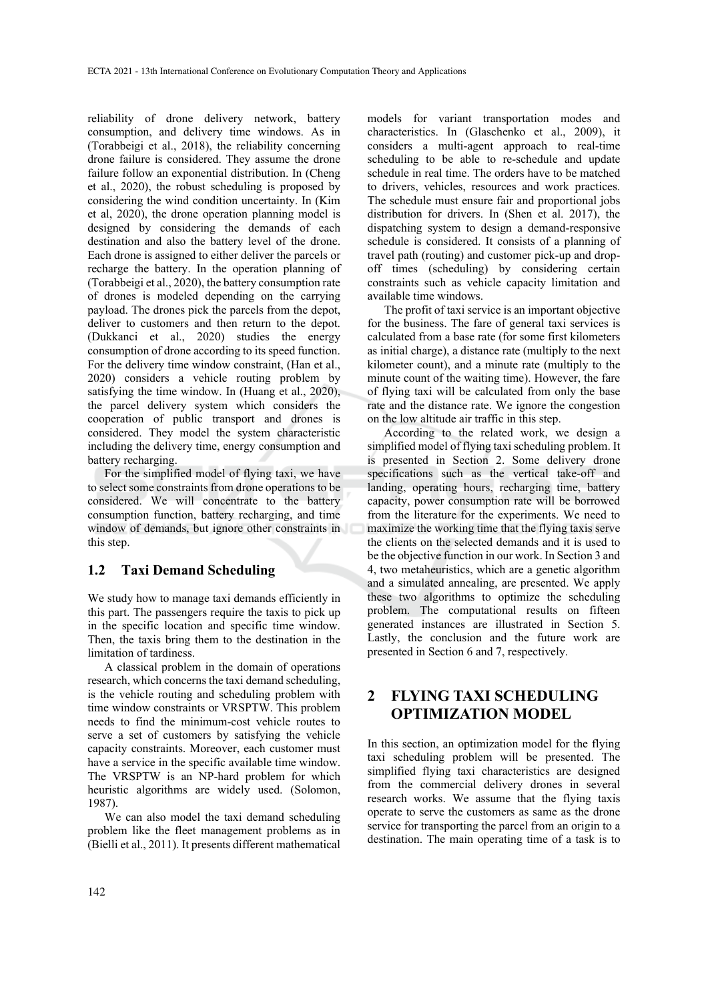reliability of drone delivery network, battery consumption, and delivery time windows. As in (Torabbeigi et al., 2018), the reliability concerning drone failure is considered. They assume the drone failure follow an exponential distribution. In (Cheng et al., 2020), the robust scheduling is proposed by considering the wind condition uncertainty. In (Kim et al, 2020), the drone operation planning model is designed by considering the demands of each destination and also the battery level of the drone. Each drone is assigned to either deliver the parcels or recharge the battery. In the operation planning of (Torabbeigi et al., 2020), the battery consumption rate of drones is modeled depending on the carrying payload. The drones pick the parcels from the depot, deliver to customers and then return to the depot. (Dukkanci et al., 2020) studies the energy consumption of drone according to its speed function. For the delivery time window constraint, (Han et al., 2020) considers a vehicle routing problem by satisfying the time window. In (Huang et al., 2020), the parcel delivery system which considers the cooperation of public transport and drones is considered. They model the system characteristic including the delivery time, energy consumption and battery recharging.

For the simplified model of flying taxi, we have to select some constraints from drone operations to be considered. We will concentrate to the battery consumption function, battery recharging, and time window of demands, but ignore other constraints in this step.

#### **1.2 Taxi Demand Scheduling**

We study how to manage taxi demands efficiently in this part. The passengers require the taxis to pick up in the specific location and specific time window. Then, the taxis bring them to the destination in the limitation of tardiness.

A classical problem in the domain of operations research, which concerns the taxi demand scheduling, is the vehicle routing and scheduling problem with time window constraints or VRSPTW. This problem needs to find the minimum-cost vehicle routes to serve a set of customers by satisfying the vehicle capacity constraints. Moreover, each customer must have a service in the specific available time window. The VRSPTW is an NP-hard problem for which heuristic algorithms are widely used. (Solomon, 1987).

We can also model the taxi demand scheduling problem like the fleet management problems as in (Bielli et al., 2011). It presents different mathematical

models for variant transportation modes and characteristics. In (Glaschenko et al., 2009), it considers a multi-agent approach to real-time scheduling to be able to re-schedule and update schedule in real time. The orders have to be matched to drivers, vehicles, resources and work practices. The schedule must ensure fair and proportional jobs distribution for drivers. In (Shen et al. 2017), the dispatching system to design a demand-responsive schedule is considered. It consists of a planning of travel path (routing) and customer pick-up and dropoff times (scheduling) by considering certain constraints such as vehicle capacity limitation and available time windows.

The profit of taxi service is an important objective for the business. The fare of general taxi services is calculated from a base rate (for some first kilometers as initial charge), a distance rate (multiply to the next kilometer count), and a minute rate (multiply to the minute count of the waiting time). However, the fare of flying taxi will be calculated from only the base rate and the distance rate. We ignore the congestion on the low altitude air traffic in this step.

According to the related work, we design a simplified model of flying taxi scheduling problem. It is presented in Section 2. Some delivery drone specifications such as the vertical take-off and landing, operating hours, recharging time, battery capacity, power consumption rate will be borrowed from the literature for the experiments. We need to maximize the working time that the flying taxis serve the clients on the selected demands and it is used to be the objective function in our work. In Section 3 and 4, two metaheuristics, which are a genetic algorithm and a simulated annealing, are presented. We apply these two algorithms to optimize the scheduling problem. The computational results on fifteen generated instances are illustrated in Section 5. Lastly, the conclusion and the future work are presented in Section 6 and 7, respectively.

### **2 FLYING TAXI SCHEDULING OPTIMIZATION MODEL**

In this section, an optimization model for the flying taxi scheduling problem will be presented. The simplified flying taxi characteristics are designed from the commercial delivery drones in several research works. We assume that the flying taxis operate to serve the customers as same as the drone service for transporting the parcel from an origin to a destination. The main operating time of a task is to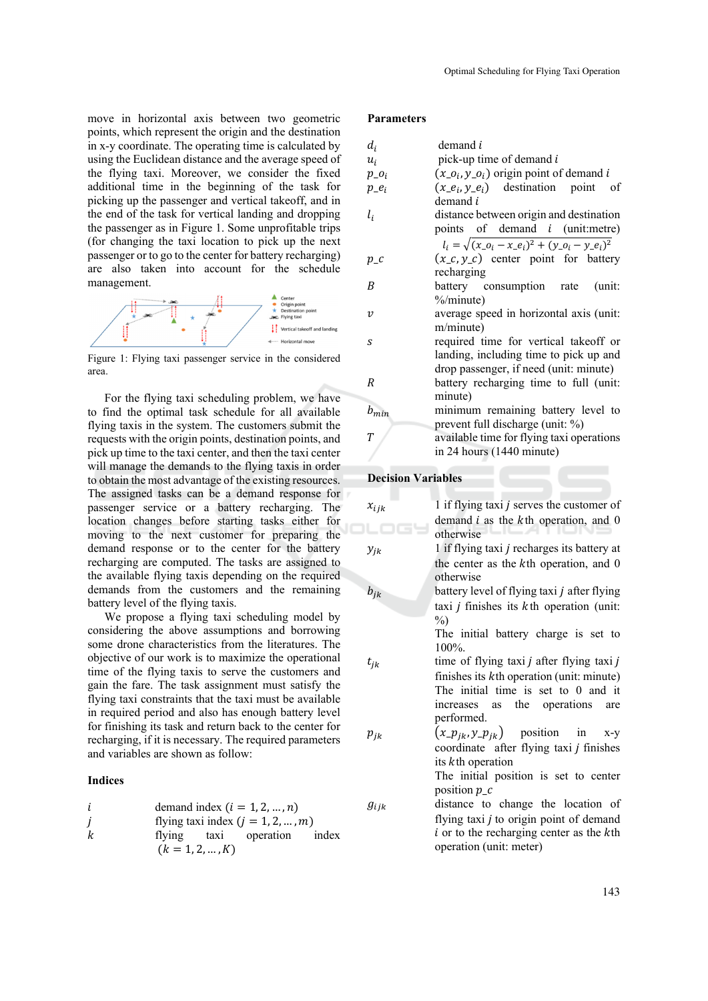move in horizontal axis between two geometric points, which represent the origin and the destination in x-y coordinate. The operating time is calculated by using the Euclidean distance and the average speed of the flying taxi. Moreover, we consider the fixed additional time in the beginning of the task for picking up the passenger and vertical takeoff, and in the end of the task for vertical landing and dropping the passenger as in Figure 1. Some unprofitable trips (for changing the taxi location to pick up the next passenger or to go to the center for battery recharging) are also taken into account for the schedule management.



Figure 1: Flying taxi passenger service in the considered area.

For the flying taxi scheduling problem, we have to find the optimal task schedule for all available flying taxis in the system. The customers submit the requests with the origin points, destination points, and pick up time to the taxi center, and then the taxi center will manage the demands to the flying taxis in order to obtain the most advantage of the existing resources. The assigned tasks can be a demand response for passenger service or a battery recharging. The location changes before starting tasks either for moving to the next customer for preparing the demand response or to the center for the battery recharging are computed. The tasks are assigned to the available flying taxis depending on the required demands from the customers and the remaining battery level of the flying taxis.

We propose a flying taxi scheduling model by considering the above assumptions and borrowing some drone characteristics from the literatures. The objective of our work is to maximize the operational time of the flying taxis to serve the customers and gain the fare. The task assignment must satisfy the flying taxi constraints that the taxi must be available in required period and also has enough battery level for finishing its task and return back to the center for recharging, if it is necessary. The required parameters and variables are shown as follow:

#### **Indices**

| i | demand index $(i = 1, 2, ..., n)$                |
|---|--------------------------------------------------|
| j | flying taxi index $(j = 1, 2, ..., m)$           |
| k | flying taxi operation index $(k = 1, 2, ..., K)$ |

#### **Parameters**

|                  | demand <i>i</i>                                                  |
|------------------|------------------------------------------------------------------|
| $d_i$            |                                                                  |
| $u_i$            | pick-up time of demand i                                         |
| $p_{-}o_i$       | $(x_0, y_0)$ origin point of demand i                            |
| $p_{-}e_i$       | $(x_{-}e_i, y_{-}e_i)$ destination point of                      |
|                  | demand i                                                         |
| $l_i$            | distance between origin and destination                          |
|                  | points of demand <i>i</i> (unit:metre)                           |
|                  | $l_i = \sqrt{(x_{-}o_i - x_{-}e_i)^2 + (y_{-}o_i - y_{-}e_i)^2}$ |
| $p\_c$           | $(x_c, y_c)$ center point for battery                            |
|                  | recharging                                                       |
| B                | battery consumption rate (unit:                                  |
|                  | %/minute)                                                        |
| $\boldsymbol{v}$ | average speed in horizontal axis (unit:                          |
|                  | m/minute)                                                        |
| S                | required time for vertical takeoff or                            |
|                  | landing, including time to pick up and                           |
|                  | drop passenger, if need (unit: minute)                           |
| R                | battery recharging time to full (unit:                           |
|                  | minute)                                                          |
|                  |                                                                  |
| $b_{min}$        | minimum remaining battery level to                               |
|                  | prevent full discharge (unit: %)                                 |
| $\overline{T}$   | available time for flying taxi operations                        |
|                  | in 24 hours (1440 minute)                                        |

**Decision Variables** 

| $x_{ijk}$ | 1 if flying taxi $j$ serves the customer of                |
|-----------|------------------------------------------------------------|
|           | demand $i$ as the $k$ th operation, and 0<br>otherwise     |
| $y_{jk}$  | 1 if flying taxi <i>j</i> recharges its battery at         |
|           | the center as the $k$ th operation, and $0$<br>otherwise   |
| $b_{jk}$  | battery level of flying taxi <i>j</i> after flying         |
|           | taxi <i>j</i> finishes its $k$ th operation (unit:<br>$\%$ |
|           | The initial battery charge is set to<br>$100\%$ .          |
| $t_{jk}$  | time of flying taxi <i>j</i> after flying taxi <i>j</i>    |
|           | finishes its kth operation (unit: minute)                  |
|           | The initial time is set to 0 and it                        |
|           | as the operations<br>increases<br>are                      |
|           | performed.                                                 |
| $p_{jk}$  | $(x_{\perp} p_{ik}, y_{\perp} p_{ik})$ position in x-y     |
|           | coordinate after flying taxi <i>j</i> finishes             |
|           | its kth operation                                          |
|           | The initial position is set to center                      |
|           | position $p_{\perp}c$                                      |
| $g_{ijk}$ | distance to change the location of                         |
|           | flying taxi i to origin noint of demand                    |

flying taxi  $j$  to origin point of demand  $i$  or to the recharging center as the  $k$ th operation (unit: meter)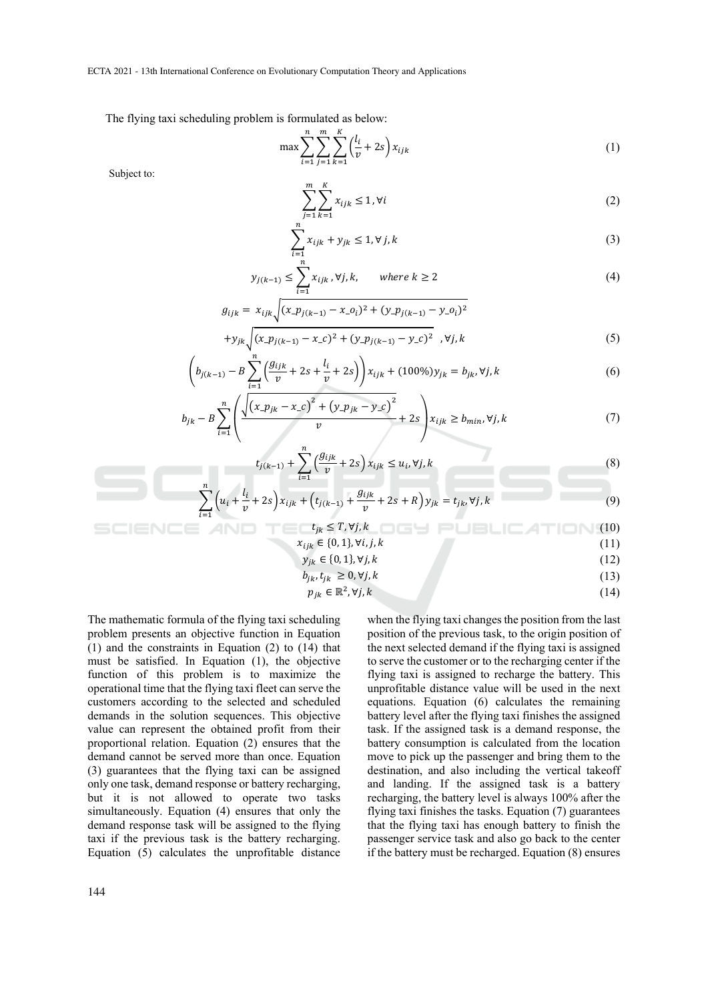ECTA 2021 - 13th International Conference on Evolutionary Computation Theory and Applications

The flying taxi scheduling problem is formulated as below:

$$
\max \sum_{i=1}^{n} \sum_{j=1}^{m} \sum_{k=1}^{K} \left(\frac{l_i}{v} + 2s\right) x_{ijk} \tag{1}
$$

Subject to:

$$
\sum_{j=1}^{m} \sum_{k=1}^{K} x_{ijk} \le 1, \forall i
$$
 (2)

$$
\sum_{i=1}^{n} x_{ijk} + y_{jk} \le 1, \forall j, k
$$
\n
$$
(3)
$$

$$
y_{j(k-1)} \le \sum_{i=1}^{n} x_{ijk}, \forall j, k, \qquad \text{where } k \ge 2
$$
 (4)

$$
g_{ijk} = x_{ijk} \sqrt{(x \cdot p_{j(k-1)} - x \cdot o_i)^2 + (y \cdot p_{j(k-1)} - y \cdot o_i)^2}
$$
  
+
$$
y_{jk} \sqrt{(x \cdot p_{j(k-1)} - x \cdot c)^2 + (y \cdot p_{j(k-1)} - y \cdot c)^2}, \forall j, k
$$
 (5)

$$
\left(b_{j(k-1)} - B\sum_{i=1}^{n} \left(\frac{g_{ijk}}{v} + 2s + \frac{l_i}{v} + 2s\right)\right) x_{ijk} + (100\%) y_{jk} = b_{jk}, \forall j, k
$$
\n(6)

$$
b_{jk} - B \sum_{i=1}^{n} \left( \frac{\sqrt{(x_{jik} - x_{j}c)^{2} + (y_{jik} - y_{j}c)^{2}}}{v} + 2s \right) x_{ijk} \ge b_{min}, \forall j, k
$$
 (7)

$$
t_{j(k-1)} + \sum_{i=1}^{n} \left(\frac{g_{ijk}}{v} + 2s\right) x_{ijk} \le u_i, \forall j, k
$$
 (8)

$$
\sum_{i=1}^{n} \left( u_i + \frac{l_i}{v} + 2s \right) x_{ijk} + \left( t_{j(k-1)} + \frac{g_{ijk}}{v} + 2s + R \right) y_{jk} = t_{jk}, \forall j, k
$$
\n(9)

$$
\mathsf{NCE} \quad \mathsf{AND} \quad \mathsf{T} \subseteq \mathsf{t}_{jk} \leq T, \forall j, k \quad \text{or} \quad \mathsf{P} \sqcup \mathsf{B} \sqcup \mathsf{C} \mathsf{ATI} \sqcap \mathsf{N} \ (10)
$$
\n
$$
x_{ijk} \in \{0,1\}, \forall i, j, k \tag{11}
$$

$$
y_{jk} \in \{0, 1\}, \forall j, k \tag{12}
$$

$$
b_{jk}, t_{jk} \ge 0, \forall j, k \tag{13}
$$

$$
p_{jk} \in \mathbb{R}^2, \forall j, k \tag{14}
$$

The mathematic formula of the flying taxi scheduling problem presents an objective function in Equation (1) and the constraints in Equation (2) to (14) that must be satisfied. In Equation (1), the objective function of this problem is to maximize the operational time that the flying taxi fleet can serve the customers according to the selected and scheduled demands in the solution sequences. This objective value can represent the obtained profit from their proportional relation. Equation (2) ensures that the demand cannot be served more than once. Equation (3) guarantees that the flying taxi can be assigned only one task, demand response or battery recharging, but it is not allowed to operate two tasks simultaneously. Equation (4) ensures that only the demand response task will be assigned to the flying taxi if the previous task is the battery recharging. Equation (5) calculates the unprofitable distance when the flying taxi changes the position from the last position of the previous task, to the origin position of the next selected demand if the flying taxi is assigned to serve the customer or to the recharging center if the flying taxi is assigned to recharge the battery. This unprofitable distance value will be used in the next equations. Equation (6) calculates the remaining battery level after the flying taxi finishes the assigned task. If the assigned task is a demand response, the battery consumption is calculated from the location move to pick up the passenger and bring them to the destination, and also including the vertical takeoff and landing. If the assigned task is a battery recharging, the battery level is always 100% after the flying taxi finishes the tasks. Equation (7) guarantees that the flying taxi has enough battery to finish the passenger service task and also go back to the center if the battery must be recharged. Equation (8) ensures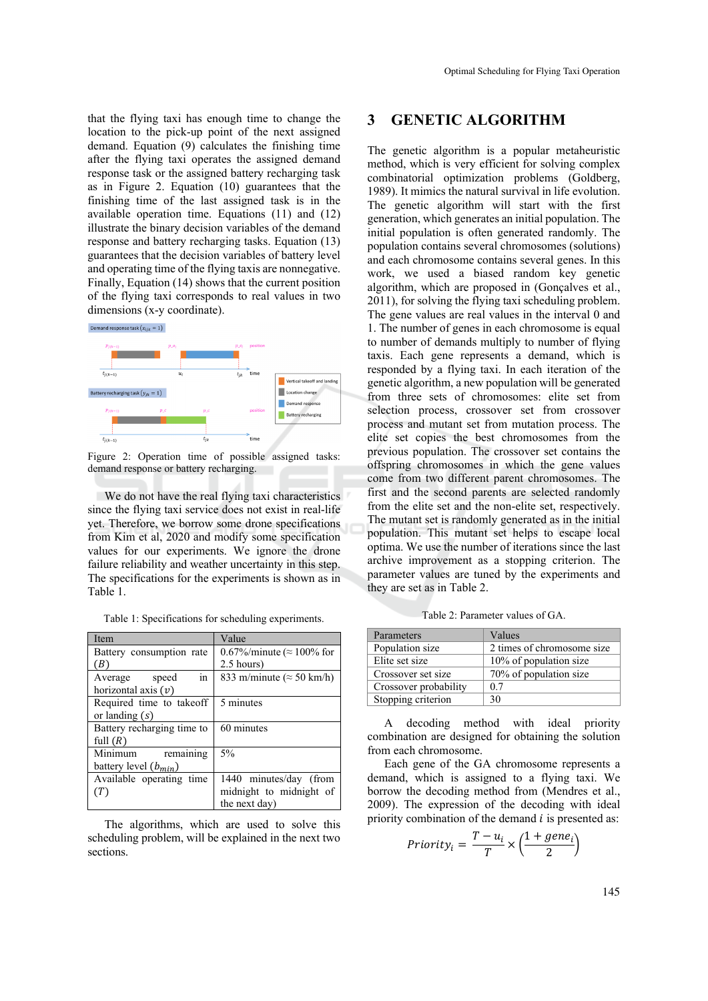that the flying taxi has enough time to change the location to the pick-up point of the next assigned demand. Equation (9) calculates the finishing time after the flying taxi operates the assigned demand response task or the assigned battery recharging task as in Figure 2. Equation (10) guarantees that the finishing time of the last assigned task is in the available operation time. Equations (11) and (12) illustrate the binary decision variables of the demand response and battery recharging tasks. Equation (13) guarantees that the decision variables of battery level

and operating time of the flying taxis are nonnegative. Finally, Equation (14) shows that the current position of the flying taxi corresponds to real values in two dimensions (x-y coordinate). Demand response task  $(x_{ijk} = 1)$ 



Figure 2: Operation time of possible assigned tasks: demand response or battery recharging.

We do not have the real flying taxi characteristics since the flying taxi service does not exist in real-life yet. Therefore, we borrow some drone specifications from Kim et al, 2020 and modify some specification values for our experiments. We ignore the drone failure reliability and weather uncertainty in this step. The specifications for the experiments is shown as in Table 1.

|  |  |  | Table 1: Specifications for scheduling experiments. |
|--|--|--|-----------------------------------------------------|
|  |  |  |                                                     |

| Item                       | Value                             |  |  |
|----------------------------|-----------------------------------|--|--|
| Battery consumption rate   | 0.67%/minute ( $\approx$ 100% for |  |  |
| (B)                        | $2.5$ hours)                      |  |  |
| in<br>Average speed        | 833 m/minute ( $\approx$ 50 km/h) |  |  |
| horizontal axis $(v)$      |                                   |  |  |
| Required time to takeoff   | 5 minutes                         |  |  |
| or landing $(s)$           |                                   |  |  |
| Battery recharging time to | 60 minutes                        |  |  |
| full $(R)$                 |                                   |  |  |
| Minimum<br>remaining       | 5%                                |  |  |
| battery level $(b_{min})$  |                                   |  |  |
| Available operating time   | 1440 minutes/day (from            |  |  |
| (T)                        | midnight to midnight of           |  |  |
|                            | the next day)                     |  |  |

The algorithms, which are used to solve this scheduling problem, will be explained in the next two sections.

#### **3 GENETIC ALGORITHM**

The genetic algorithm is a popular metaheuristic method, which is very efficient for solving complex combinatorial optimization problems (Goldberg, 1989). It mimics the natural survival in life evolution. The genetic algorithm will start with the first generation, which generates an initial population. The initial population is often generated randomly. The population contains several chromosomes (solutions) and each chromosome contains several genes. In this work, we used a biased random key genetic algorithm, which are proposed in (Gonçalves et al., 2011), for solving the flying taxi scheduling problem. The gene values are real values in the interval 0 and 1. The number of genes in each chromosome is equal to number of demands multiply to number of flying taxis. Each gene represents a demand, which is responded by a flying taxi. In each iteration of the genetic algorithm, a new population will be generated from three sets of chromosomes: elite set from selection process, crossover set from crossover process and mutant set from mutation process. The elite set copies the best chromosomes from the previous population. The crossover set contains the offspring chromosomes in which the gene values come from two different parent chromosomes. The first and the second parents are selected randomly from the elite set and the non-elite set, respectively. The mutant set is randomly generated as in the initial population. This mutant set helps to escape local optima. We use the number of iterations since the last archive improvement as a stopping criterion. The parameter values are tuned by the experiments and they are set as in Table 2.

Table 2: Parameter values of GA.

| Parameters            | Values                     |
|-----------------------|----------------------------|
| Population size       | 2 times of chromosome size |
| Elite set size        | 10% of population size     |
| Crossover set size    | 70% of population size     |
| Crossover probability | 0.7                        |
| Stopping criterion    | 30                         |

A decoding method with ideal priority combination are designed for obtaining the solution from each chromosome.

Each gene of the GA chromosome represents a demand, which is assigned to a flying taxi. We borrow the decoding method from (Mendres et al., 2009). The expression of the decoding with ideal priority combination of the demand  $i$  is presented as:

$$
Priority_i = \frac{T - u_i}{T} \times \left(\frac{1 + gene_i}{2}\right)
$$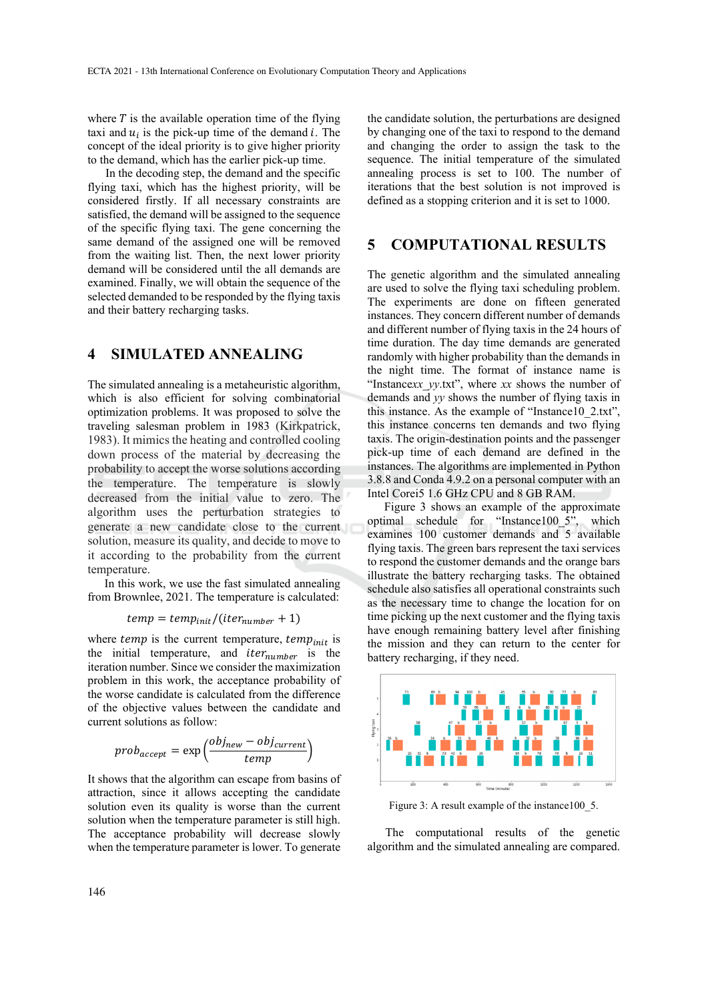where  $T$  is the available operation time of the flying taxi and  $u_i$  is the pick-up time of the demand i. The concept of the ideal priority is to give higher priority to the demand, which has the earlier pick-up time.

In the decoding step, the demand and the specific flying taxi, which has the highest priority, will be considered firstly. If all necessary constraints are satisfied, the demand will be assigned to the sequence of the specific flying taxi. The gene concerning the same demand of the assigned one will be removed from the waiting list. Then, the next lower priority demand will be considered until the all demands are examined. Finally, we will obtain the sequence of the selected demanded to be responded by the flying taxis and their battery recharging tasks.

#### **4 SIMULATED ANNEALING**

The simulated annealing is a metaheuristic algorithm, which is also efficient for solving combinatorial optimization problems. It was proposed to solve the traveling salesman problem in 1983 (Kirkpatrick, 1983). It mimics the heating and controlled cooling down process of the material by decreasing the probability to accept the worse solutions according the temperature. The temperature is slowly decreased from the initial value to zero. The algorithm uses the perturbation strategies to generate a new candidate close to the current solution, measure its quality, and decide to move to it according to the probability from the current temperature.

In this work, we use the fast simulated annealing from Brownlee, 2021. The temperature is calculated:

$$
temp = temp_{init}/(iter_{number} + 1)
$$

where *temp* is the current temperature,  $temp_{init}$  is the initial temperature, and  $iter_{number}$  is the iteration number. Since we consider the maximization problem in this work, the acceptance probability of the worse candidate is calculated from the difference of the objective values between the candidate and current solutions as follow:

$$
prob_{accept} = \exp\left(\frac{obj_{new} - obj_{current}}{temp}\right)
$$

It shows that the algorithm can escape from basins of attraction, since it allows accepting the candidate solution even its quality is worse than the current solution when the temperature parameter is still high. The acceptance probability will decrease slowly when the temperature parameter is lower. To generate

the candidate solution, the perturbations are designed by changing one of the taxi to respond to the demand and changing the order to assign the task to the sequence. The initial temperature of the simulated annealing process is set to 100. The number of iterations that the best solution is not improved is defined as a stopping criterion and it is set to 1000.

### **5 COMPUTATIONAL RESULTS**

The genetic algorithm and the simulated annealing are used to solve the flying taxi scheduling problem. The experiments are done on fifteen generated instances. They concern different number of demands and different number of flying taxis in the 24 hours of time duration. The day time demands are generated randomly with higher probability than the demands in the night time. The format of instance name is "Instance*xx*\_*yy*.txt", where *xx* shows the number of demands and *yy* shows the number of flying taxis in this instance. As the example of "Instance10\_2.txt", this instance concerns ten demands and two flying taxis. The origin-destination points and the passenger pick-up time of each demand are defined in the instances. The algorithms are implemented in Python 3.8.8 and Conda 4.9.2 on a personal computer with an Intel Corei5 1.6 GHz CPU and 8 GB RAM.

Figure 3 shows an example of the approximate optimal schedule for "Instance100\_5", which examines 100 customer demands and 5 available flying taxis. The green bars represent the taxi services to respond the customer demands and the orange bars illustrate the battery recharging tasks. The obtained schedule also satisfies all operational constraints such as the necessary time to change the location for on time picking up the next customer and the flying taxis have enough remaining battery level after finishing the mission and they can return to the center for battery recharging, if they need.



Figure 3: A result example of the instance 100 5.

The computational results of the genetic algorithm and the simulated annealing are compared.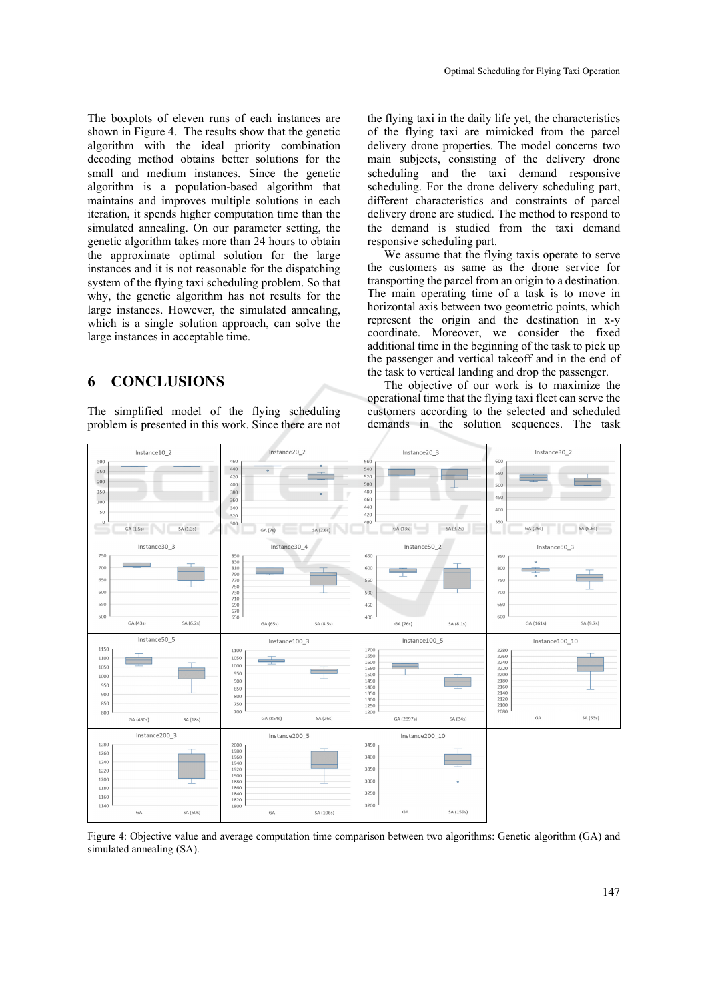The boxplots of eleven runs of each instances are shown in Figure 4. The results show that the genetic algorithm with the ideal priority combination decoding method obtains better solutions for the small and medium instances. Since the genetic algorithm is a population-based algorithm that maintains and improves multiple solutions in each iteration, it spends higher computation time than the simulated annealing. On our parameter setting, the genetic algorithm takes more than 24 hours to obtain the approximate optimal solution for the large instances and it is not reasonable for the dispatching system of the flying taxi scheduling problem. So that why, the genetic algorithm has not results for the large instances. However, the simulated annealing, which is a single solution approach, can solve the large instances in acceptable time.

## **6 CONCLUSIONS**

The simplified model of the flying scheduling problem is presented in this work. Since there are not

the flying taxi in the daily life yet, the characteristics of the flying taxi are mimicked from the parcel delivery drone properties. The model concerns two main subjects, consisting of the delivery drone scheduling and the taxi demand responsive scheduling. For the drone delivery scheduling part, different characteristics and constraints of parcel delivery drone are studied. The method to respond to the demand is studied from the taxi demand responsive scheduling part.

We assume that the flying taxis operate to serve the customers as same as the drone service for transporting the parcel from an origin to a destination. The main operating time of a task is to move in horizontal axis between two geometric points, which represent the origin and the destination in x-y coordinate. Moreover, we consider the fixed additional time in the beginning of the task to pick up the passenger and vertical takeoff and in the end of the task to vertical landing and drop the passenger.

The objective of our work is to maximize the operational time that the flying taxi fleet can serve the customers according to the selected and scheduled demands in the solution sequences. The task



Figure 4: Objective value and average computation time comparison between two algorithms: Genetic algorithm (GA) and simulated annealing (SA).